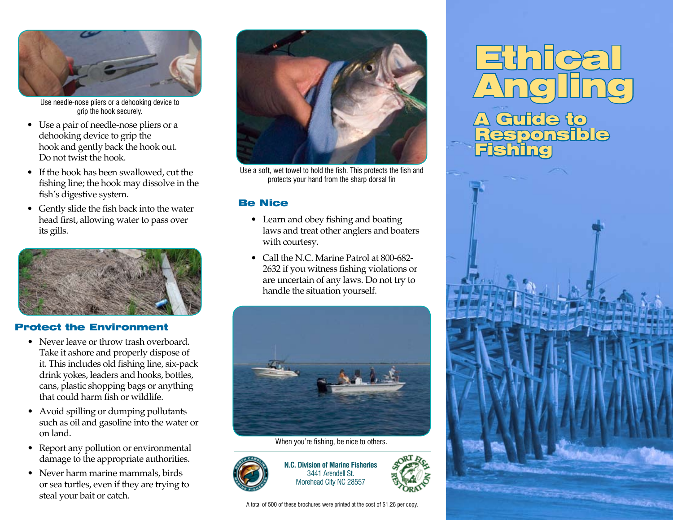

Use needle-nose pliers or a dehooking device to grip the hook securely.

- Use a pair of needle-nose pliers or a dehooking device to grip the hook and gently back the hook out. Do not twist the hook.
- If the hook has been swallowed, cut the fishing line; the hook may dissolve in the fish's digestive system.
- Gently slide the fish back into the water head first, allowing water to pass over its gills.



#### Protect the Environment

- Never leave or throw trash overboard. Take it ashore and properly dispose of it. This includes old fishing line, six-pack drink yokes, leaders and hooks, bottles, cans, plastic shopping bags or anything that could harm fish or wildlife.
- Avoid spilling or dumping pollutants such as oil and gasoline into the water or on land.
- Report any pollution or environmental damage to the appropriate authorities.
- Never harm marine mammals, birds or sea turtles, even if they are trying to steal your bait or catch.



Use a soft, wet towel to hold the fish. This protects the fish and protects your hand from the sharp dorsal fin

#### Be Nice

- Learn and obey fishing and boating laws and treat other anglers and boaters with courtesy.
- Call the N.C. Marine Patrol at 800-682- 2632 if you witness fishing violations or are uncertain of any laws. Do not try to handle the situation yourself.



When you're fishing, be nice to others.



**N.C. Division of Marine Fisheries** 3441 Arendell St. Morehead City NC 28557

A total of 500 of these brochures were printed at the cost of \$1.26 per copy.